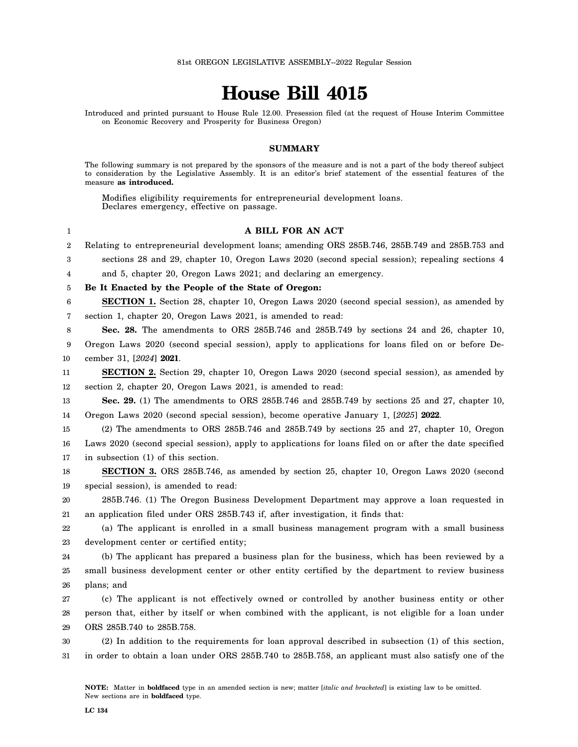## **House Bill 4015**

Introduced and printed pursuant to House Rule 12.00. Presession filed (at the request of House Interim Committee on Economic Recovery and Prosperity for Business Oregon)

## **SUMMARY**

The following summary is not prepared by the sponsors of the measure and is not a part of the body thereof subject to consideration by the Legislative Assembly. It is an editor's brief statement of the essential features of the measure **as introduced.**

Modifies eligibility requirements for entrepreneurial development loans. Declares emergency, effective on passage.

## **A BILL FOR AN ACT**

2 3 4 5 6 7 8 9 10 11 12 13 14 15 16 17 18 19 20 21 22 23 24 25 26 27 28 29 30 31 Relating to entrepreneurial development loans; amending ORS 285B.746, 285B.749 and 285B.753 and sections 28 and 29, chapter 10, Oregon Laws 2020 (second special session); repealing sections 4 and 5, chapter 20, Oregon Laws 2021; and declaring an emergency. **Be It Enacted by the People of the State of Oregon: SECTION 1.** Section 28, chapter 10, Oregon Laws 2020 (second special session), as amended by section 1, chapter 20, Oregon Laws 2021, is amended to read: **Sec. 28.** The amendments to ORS 285B.746 and 285B.749 by sections 24 and 26, chapter 10, Oregon Laws 2020 (second special session), apply to applications for loans filed on or before December 31, [*2024*] **2021**. **SECTION 2.** Section 29, chapter 10, Oregon Laws 2020 (second special session), as amended by section 2, chapter 20, Oregon Laws 2021, is amended to read: **Sec. 29.** (1) The amendments to ORS 285B.746 and 285B.749 by sections 25 and 27, chapter 10, Oregon Laws 2020 (second special session), become operative January 1, [*2025*] **2022**. (2) The amendments to ORS 285B.746 and 285B.749 by sections 25 and 27, chapter 10, Oregon Laws 2020 (second special session), apply to applications for loans filed on or after the date specified in subsection (1) of this section. **SECTION 3.** ORS 285B.746, as amended by section 25, chapter 10, Oregon Laws 2020 (second special session), is amended to read: 285B.746. (1) The Oregon Business Development Department may approve a loan requested in an application filed under ORS 285B.743 if, after investigation, it finds that: (a) The applicant is enrolled in a small business management program with a small business development center or certified entity; (b) The applicant has prepared a business plan for the business, which has been reviewed by a small business development center or other entity certified by the department to review business plans; and (c) The applicant is not effectively owned or controlled by another business entity or other person that, either by itself or when combined with the applicant, is not eligible for a loan under ORS 285B.740 to 285B.758. (2) In addition to the requirements for loan approval described in subsection (1) of this section, in order to obtain a loan under ORS 285B.740 to 285B.758, an applicant must also satisfy one of the

1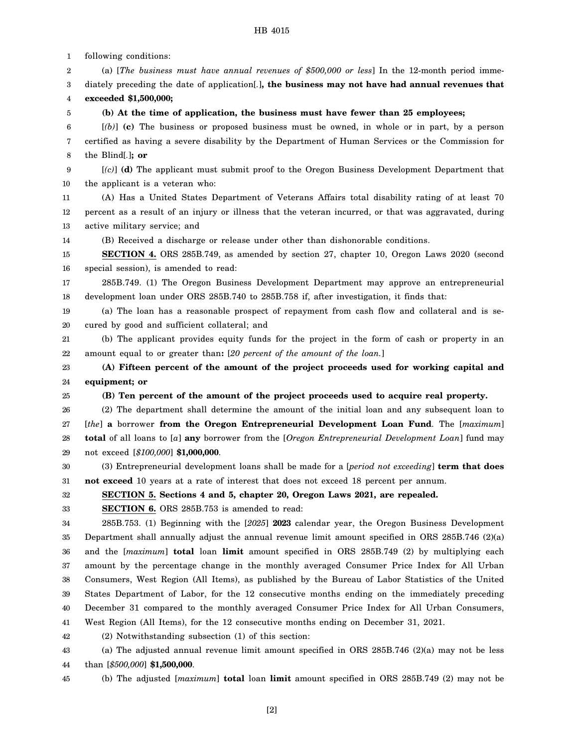1 2 3 4 5 6 7 8 9 10 11 12 13 14 15 16 17 18 19 20 21 22 23 24 25 26 27 28 29 30 31 32 33 34 35 36 37 38 39 40 41 42 43 44 following conditions: (a) [*The business must have annual revenues of \$500,000 or less*] In the 12-month period immediately preceding the date of application[*.*]**, the business may not have had annual revenues that exceeded \$1,500,000; (b) At the time of application, the business must have fewer than 25 employees;** [*(b)*] **(c)** The business or proposed business must be owned, in whole or in part, by a person certified as having a severe disability by the Department of Human Services or the Commission for the Blind[*.*]**; or** [*(c)*] **(d)** The applicant must submit proof to the Oregon Business Development Department that the applicant is a veteran who: (A) Has a United States Department of Veterans Affairs total disability rating of at least 70 percent as a result of an injury or illness that the veteran incurred, or that was aggravated, during active military service; and (B) Received a discharge or release under other than dishonorable conditions. **SECTION 4.** ORS 285B.749, as amended by section 27, chapter 10, Oregon Laws 2020 (second special session), is amended to read: 285B.749. (1) The Oregon Business Development Department may approve an entrepreneurial development loan under ORS 285B.740 to 285B.758 if, after investigation, it finds that: (a) The loan has a reasonable prospect of repayment from cash flow and collateral and is secured by good and sufficient collateral; and (b) The applicant provides equity funds for the project in the form of cash or property in an amount equal to or greater than**:** [*20 percent of the amount of the loan.*] **(A) Fifteen percent of the amount of the project proceeds used for working capital and equipment; or (B) Ten percent of the amount of the project proceeds used to acquire real property.** (2) The department shall determine the amount of the initial loan and any subsequent loan to [*the*] **a** borrower **from the Oregon Entrepreneurial Development Loan Fund**. The [*maximum*] **total** of all loans to [*a*] **any** borrower from the [*Oregon Entrepreneurial Development Loan*] fund may not exceed [*\$100,000*] **\$1,000,000**. (3) Entrepreneurial development loans shall be made for a [*period not exceeding*] **term that does not exceed** 10 years at a rate of interest that does not exceed 18 percent per annum. **SECTION 5. Sections 4 and 5, chapter 20, Oregon Laws 2021, are repealed. SECTION 6.** ORS 285B.753 is amended to read: 285B.753. (1) Beginning with the [*2025*] **2023** calendar year, the Oregon Business Development Department shall annually adjust the annual revenue limit amount specified in ORS 285B.746 (2)(a) and the [*maximum*] **total** loan **limit** amount specified in ORS 285B.749 (2) by multiplying each amount by the percentage change in the monthly averaged Consumer Price Index for All Urban Consumers, West Region (All Items), as published by the Bureau of Labor Statistics of the United States Department of Labor, for the 12 consecutive months ending on the immediately preceding December 31 compared to the monthly averaged Consumer Price Index for All Urban Consumers, West Region (All Items), for the 12 consecutive months ending on December 31, 2021. (2) Notwithstanding subsection (1) of this section: (a) The adjusted annual revenue limit amount specified in ORS 285B.746 (2)(a) may not be less than [*\$500,000*] **\$1,500,000**.

45 (b) The adjusted [*maximum*] **total** loan **limit** amount specified in ORS 285B.749 (2) may not be